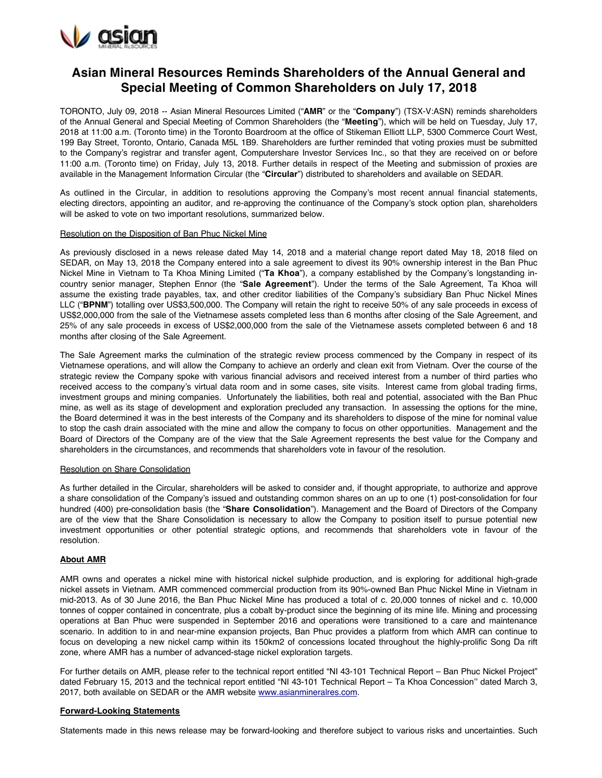

# **Asian Mineral Resources Reminds Shareholders of the Annual General and Special Meeting of Common Shareholders on July 17, 2018**

TORONTO, July 09, 2018 -- Asian Mineral Resources Limited ("**AMR**" or the "**Company**") (TSX-V:ASN) reminds shareholders of the Annual General and Special Meeting of Common Shareholders (the "**Meeting**"), which will be held on Tuesday, July 17, 2018 at 11:00 a.m. (Toronto time) in the Toronto Boardroom at the office of Stikeman Elliott LLP, 5300 Commerce Court West, 199 Bay Street, Toronto, Ontario, Canada M5L 1B9. Shareholders are further reminded that voting proxies must be submitted to the Company's registrar and transfer agent, Computershare Investor Services Inc., so that they are received on or before 11:00 a.m. (Toronto time) on Friday, July 13, 2018. Further details in respect of the Meeting and submission of proxies are available in the Management Information Circular (the "**Circular**") distributed to shareholders and available on SEDAR.

As outlined in the Circular, in addition to resolutions approving the Company's most recent annual financial statements, electing directors, appointing an auditor, and re-approving the continuance of the Company's stock option plan, shareholders will be asked to vote on two important resolutions, summarized below.

### Resolution on the Disposition of Ban Phuc Nickel Mine

As previously disclosed in a news release dated May 14, 2018 and a material change report dated May 18, 2018 filed on SEDAR, on May 13, 2018 the Company entered into a sale agreement to divest its 90% ownership interest in the Ban Phuc Nickel Mine in Vietnam to Ta Khoa Mining Limited ("**Ta Khoa**"), a company established by the Company's longstanding incountry senior manager, Stephen Ennor (the "**Sale Agreement**"). Under the terms of the Sale Agreement, Ta Khoa will assume the existing trade payables, tax, and other creditor liabilities of the Company's subsidiary Ban Phuc Nickel Mines LLC ("**BPNM**") totalling over US\$3,500,000. The Company will retain the right to receive 50% of any sale proceeds in excess of US\$2,000,000 from the sale of the Vietnamese assets completed less than 6 months after closing of the Sale Agreement, and 25% of any sale proceeds in excess of US\$2,000,000 from the sale of the Vietnamese assets completed between 6 and 18 months after closing of the Sale Agreement.

The Sale Agreement marks the culmination of the strategic review process commenced by the Company in respect of its Vietnamese operations, and will allow the Company to achieve an orderly and clean exit from Vietnam. Over the course of the strategic review the Company spoke with various financial advisors and received interest from a number of third parties who received access to the company's virtual data room and in some cases, site visits. Interest came from global trading firms, investment groups and mining companies. Unfortunately the liabilities, both real and potential, associated with the Ban Phuc mine, as well as its stage of development and exploration precluded any transaction. In assessing the options for the mine, the Board determined it was in the best interests of the Company and its shareholders to dispose of the mine for nominal value to stop the cash drain associated with the mine and allow the company to focus on other opportunities. Management and the Board of Directors of the Company are of the view that the Sale Agreement represents the best value for the Company and shareholders in the circumstances, and recommends that shareholders vote in favour of the resolution.

### Resolution on Share Consolidation

As further detailed in the Circular, shareholders will be asked to consider and, if thought appropriate, to authorize and approve a share consolidation of the Company's issued and outstanding common shares on an up to one (1) post-consolidation for four hundred (400) pre-consolidation basis (the "**Share Consolidation**"). Management and the Board of Directors of the Company are of the view that the Share Consolidation is necessary to allow the Company to position itself to pursue potential new investment opportunities or other potential strategic options, and recommends that shareholders vote in favour of the resolution.

# **About AMR**

AMR owns and operates a nickel mine with historical nickel sulphide production, and is exploring for additional high-grade nickel assets in Vietnam. AMR commenced commercial production from its 90%-owned Ban Phuc Nickel Mine in Vietnam in mid-2013. As of 30 June 2016, the Ban Phuc Nickel Mine has produced a total of c. 20,000 tonnes of nickel and c. 10,000 tonnes of copper contained in concentrate, plus a cobalt by-product since the beginning of its mine life. Mining and processing operations at Ban Phuc were suspended in September 2016 and operations were transitioned to a care and maintenance scenario. In addition to in and near-mine expansion projects, Ban Phuc provides a platform from which AMR can continue to focus on developing a new nickel camp within its 150km2 of concessions located throughout the highly-prolific Song Da rift zone, where AMR has a number of advanced-stage nickel exploration targets.

For further details on AMR, please refer to the technical report entitled "NI 43-101 Technical Report – Ban Phuc Nickel Project" dated February 15, 2013 and the technical report entitled "NI 43-101 Technical Report – Ta Khoa Concession'' dated March 3, 2017, both available on SEDAR or the AMR website [www.asianmineralres.com.](http://www.asianmineralres.com/)

# **Forward-Looking Statements**

Statements made in this news release may be forward-looking and therefore subject to various risks and uncertainties. Such